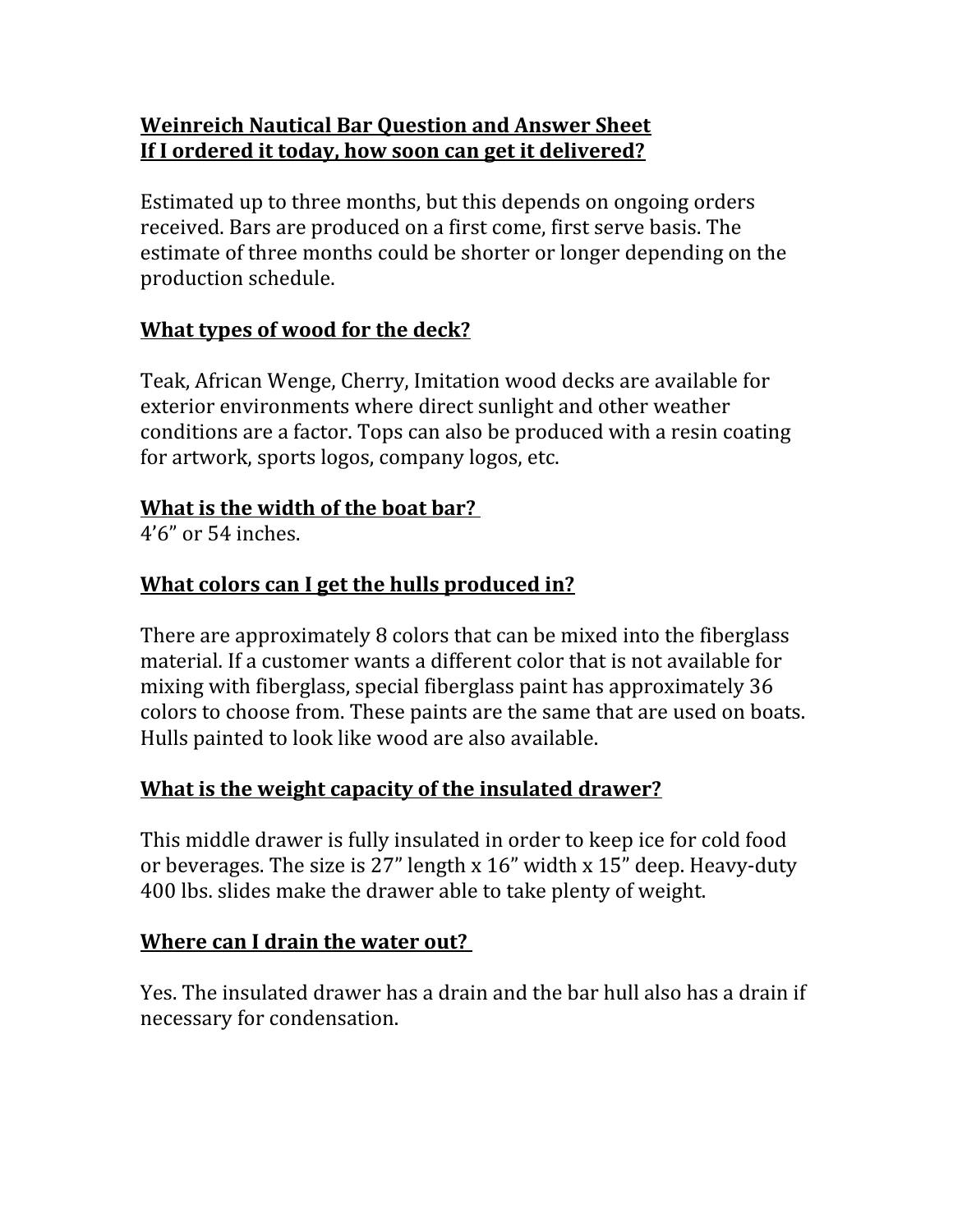## **Weinreich Nautical Bar Question and Answer Sheet If I ordered it today, how soon can get it delivered?**

Estimated up to three months, but this depends on ongoing orders received. Bars are produced on a first come, first serve basis. The estimate of three months could be shorter or longer depending on the production schedule.

## **What types of wood for the deck?**

Teak, African Wenge, Cherry, Imitation wood decks are available for exterior environments where direct sunlight and other weather conditions are a factor. Tops can also be produced with a resin coating for artwork, sports logos, company logos, etc.

### **What is the width of the boat bar?**

4'6" or 54 inches.

## **What colors can I get the hulls produced in?**

There are approximately 8 colors that can be mixed into the fiberglass material. If a customer wants a different color that is not available for mixing with fiberglass, special fiberglass paint has approximately 36 colors to choose from. These paints are the same that are used on boats. Hulls painted to look like wood are also available.

## **What is the weight capacity of the insulated drawer?**

This middle drawer is fully insulated in order to keep ice for cold food or beverages. The size is 27" length x 16" width x 15" deep. Heavy-duty 400 lbs. slides make the drawer able to take plenty of weight.

### **Where can I drain the water out?**

Yes. The insulated drawer has a drain and the bar hull also has a drain if necessary for condensation.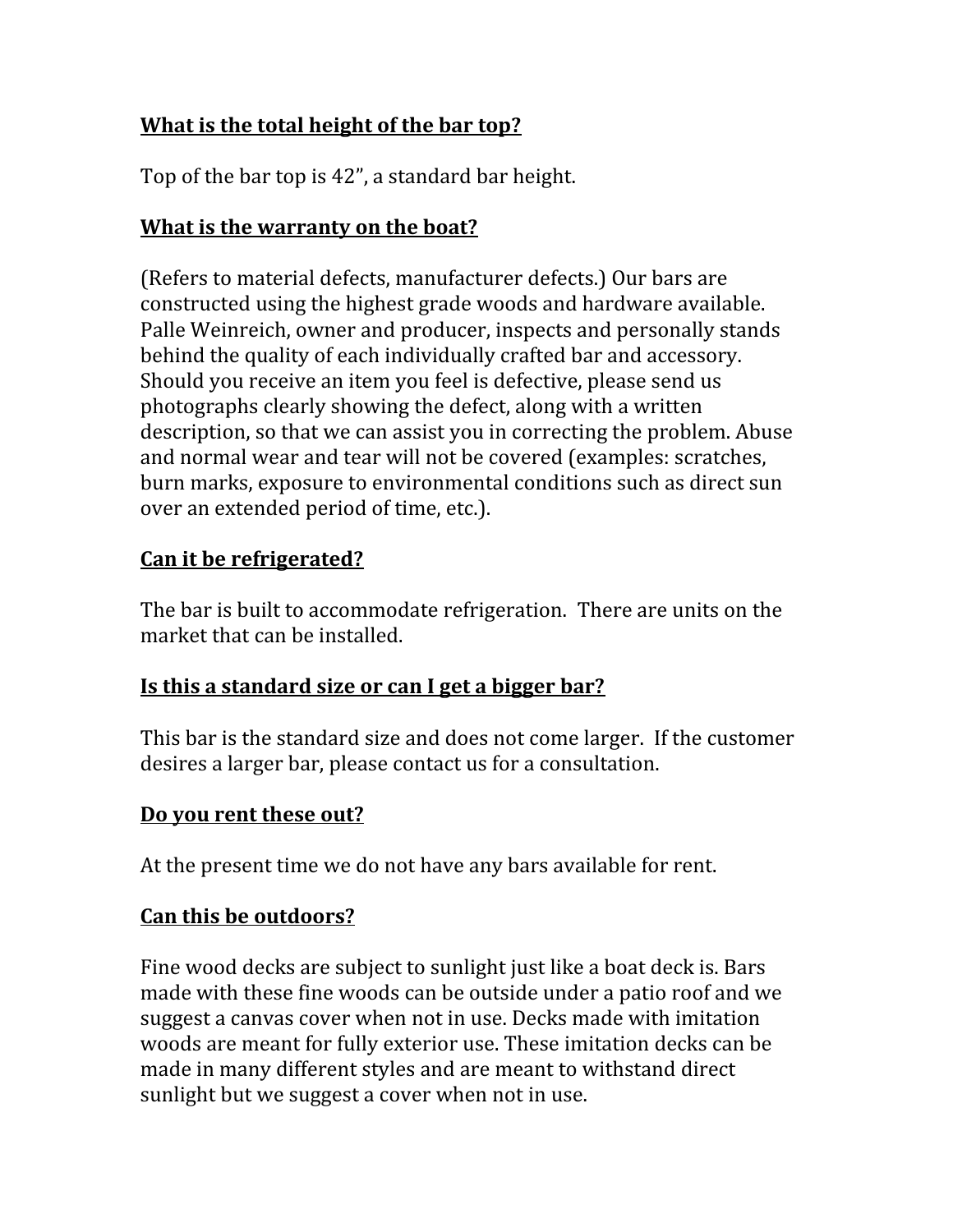# **What is the total height of the bar top?**

Top of the bar top is 42", a standard bar height.

## **What is the warranty on the boat?**

(Refers to material defects, manufacturer defects.) Our bars are constructed using the highest grade woods and hardware available. Palle Weinreich, owner and producer, inspects and personally stands behind the quality of each individually crafted bar and accessory. Should you receive an item you feel is defective, please send us photographs clearly showing the defect, along with a written description, so that we can assist you in correcting the problem. Abuse and normal wear and tear will not be covered (examples: scratches, burn marks, exposure to environmental conditions such as direct sun over an extended period of time, etc.).

# **Can it be refrigerated?**

The bar is built to accommodate refrigeration.There are units on the market that can be installed.

# **Is this a standard size or can I get a bigger bar?**

This bar is the standard size and does not come larger. If the customer desires a larger bar, please contact us for a consultation.

## **Do you rent these out?**

At the present time we do not have any bars available for rent.

## **Can this be outdoors?**

Fine wood decks are subject to sunlight just like a boat deck is. Bars made with these fine woods can be outside under a patio roof and we suggest a canvas cover when not in use. Decks made with imitation woods are meant for fully exterior use. These imitation decks can be made in many different styles and are meant to withstand direct sunlight but we suggest a cover when not in use.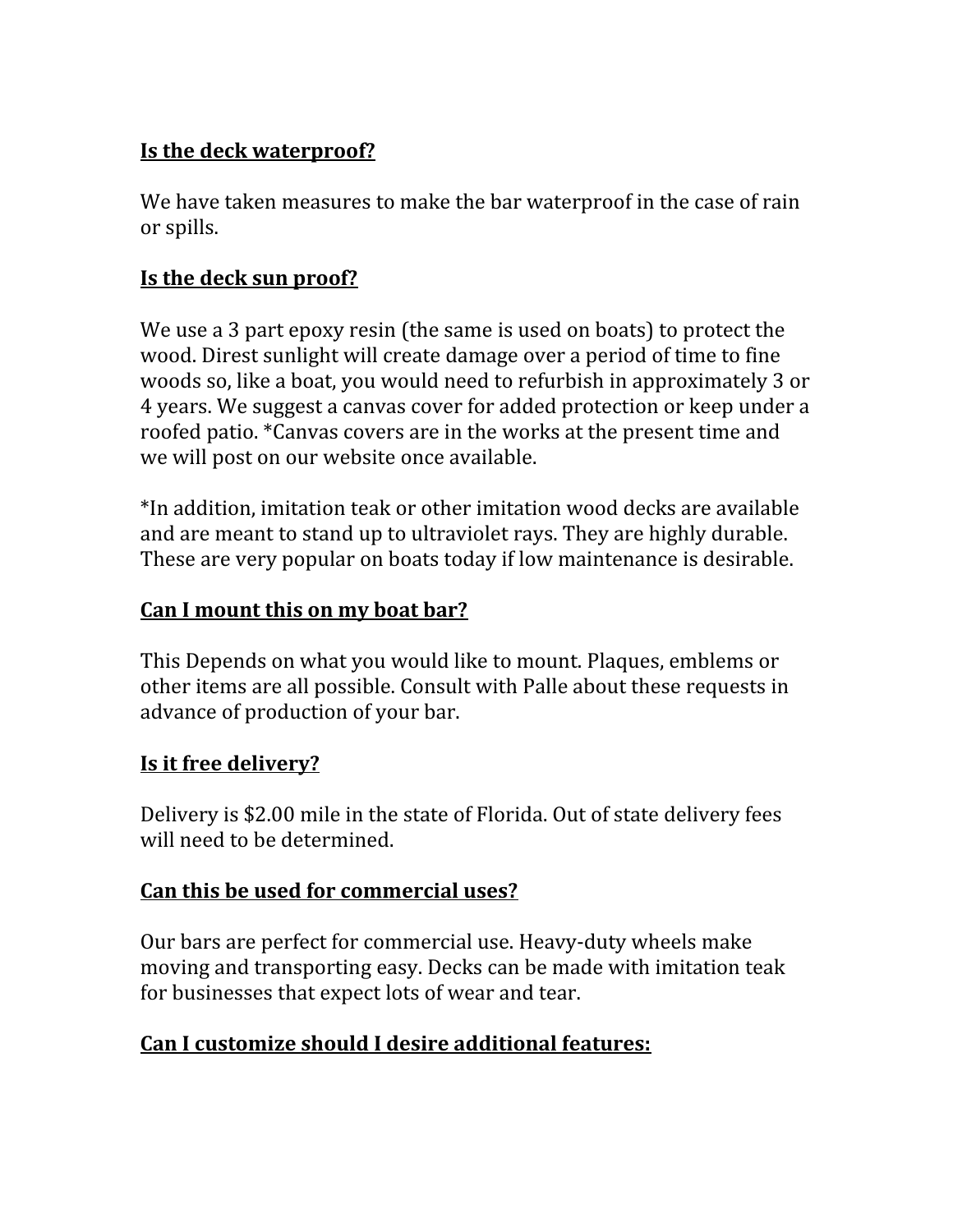## **Is the deck waterproof?**

We have taken measures to make the bar waterproof in the case of rain or spills.

## **Is the deck sun proof?**

We use a 3 part epoxy resin (the same is used on boats) to protect the wood. Direst sunlight will create damage over a period of time to fine woods so, like a boat, you would need to refurbish in approximately 3 or 4 years. We suggest a canvas cover for added protection or keep under a roofed patio. \*Canvas covers are in the works at the present time and we will post on our website once available.

\*In addition, imitation teak or other imitation wood decks are available and are meant to stand up to ultraviolet rays. They are highly durable. These are very popular on boats today if low maintenance is desirable.

# **Can I mount this on my boat bar?**

This Depends on what you would like to mount. Plaques, emblems or other items are all possible. Consult with Palle about these requests in advance of production of your bar.

### **Is it free delivery?**

Delivery is \$2.00 mile in the state of Florida. Out of state delivery fees will need to be determined.

### **Can this be used for commercial uses?**

Our bars are perfect for commercial use. Heavy-duty wheels make moving and transporting easy. Decks can be made with imitation teak for businesses that expect lots of wear and tear.

## **Can I customize should I desire additional features:**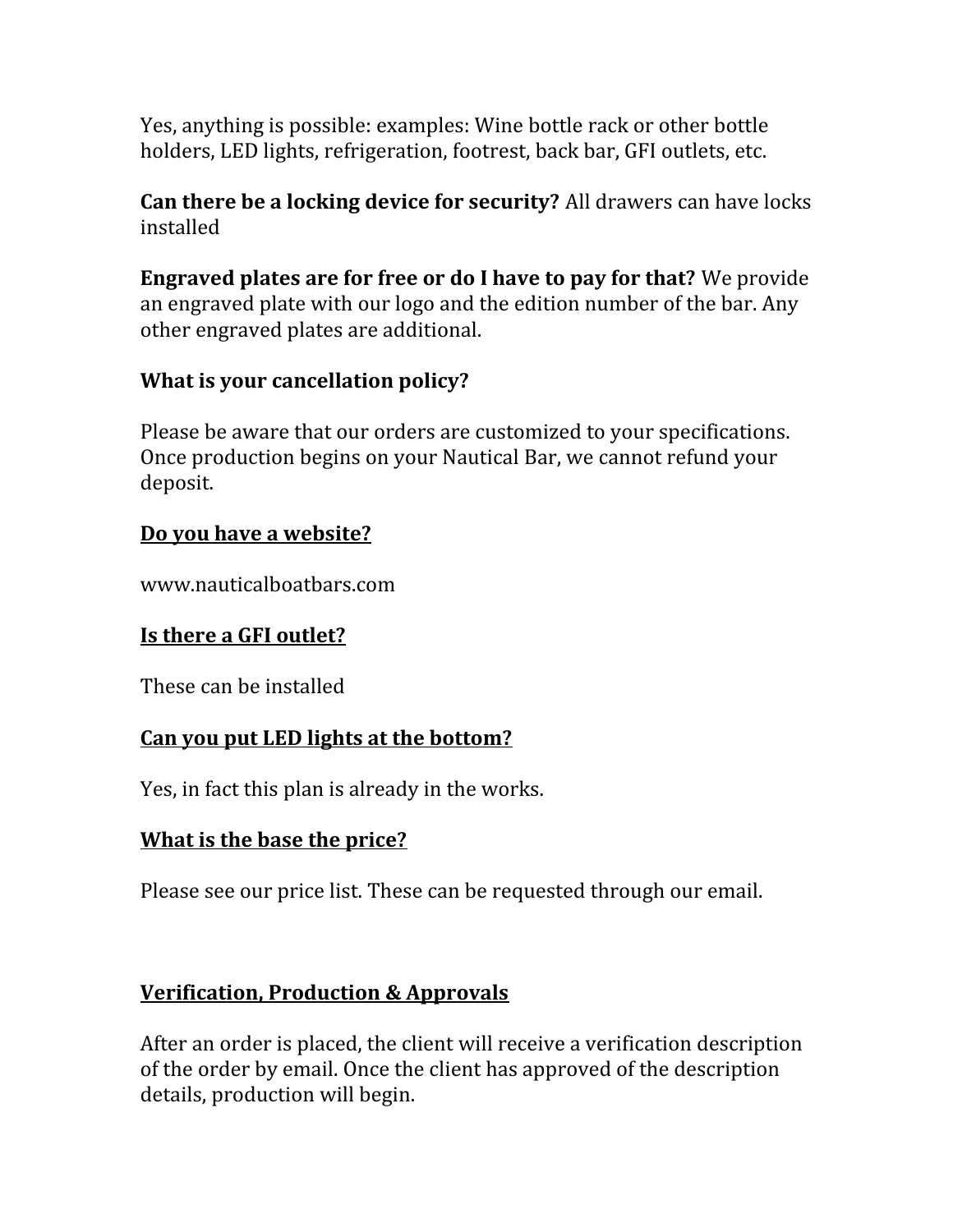Yes, anything is possible: examples: Wine bottle rack or other bottle holders, LED lights, refrigeration, footrest, back bar, GFI outlets, etc.

**Can there be a locking device for security?** All drawers can have locks installed

**Engraved plates are for free or do I have to pay for that?** We provide an engraved plate with our logo and the edition number of the bar. Any other engraved plates are additional.

### **What is your cancellation policy?**

Please be aware that our orders are customized to your specifications. Once production begins on your Nautical Bar, we cannot refund your deposit.

### **Do you have a website?**

www.nauticalboatbars.com

## **Is there a GFI outlet?**

These can be installed

### **Can you put LED lights at the bottom?**

Yes, in fact this plan is already in the works.

### **What is the base the price?**

Please see our price list. These can be requested through our email.

## **Verification, Production & Approvals**

After an order is placed, the client will receive a verification description of the order by email. Once the client has approved of the description details, production will begin.